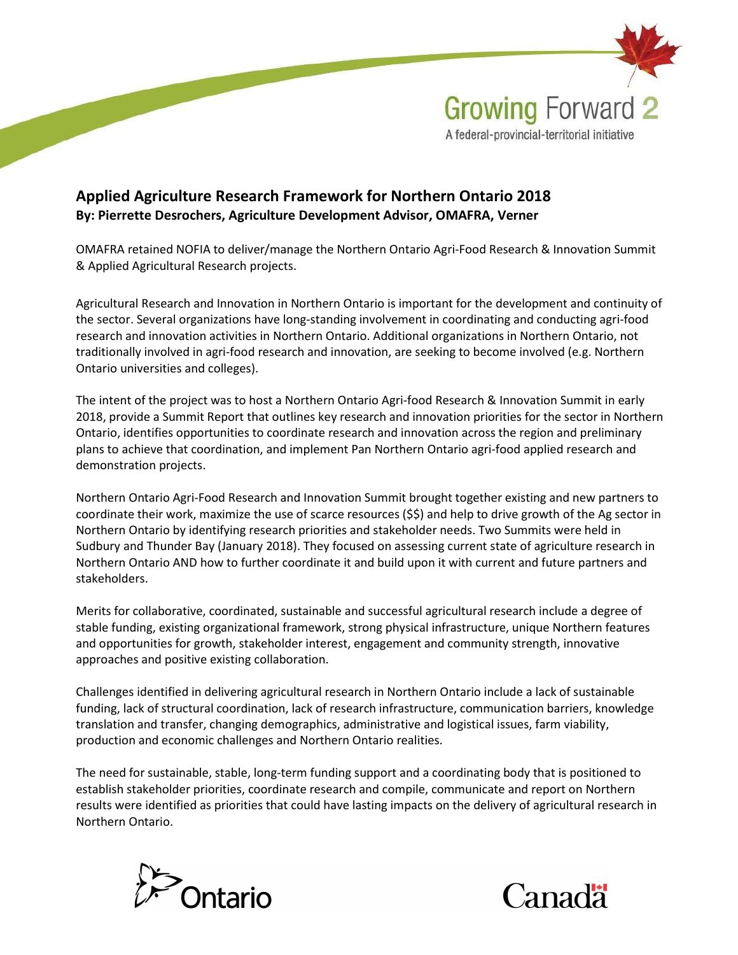

## Applied Agriculture Research Framework for Northern Ontario 2018 By: Pierrette Desrochers, Agriculture Development Advisor, OMAFRA, Verner

OMAFRA retained NOFIA to deliver/manage the Northern Ontario Agri-Food Research & Innovation Summit & Applied Agricultural Research projects.

Agricultural Research and Innovation in Northern Ontario is important for the development and continuity of the sector. Several organizations have long-standing involvement in coordinating and conducting agri-food research and innovation activities in Northern Ontario. Additional organizations in Northern Ontario, not traditionally involved in agri-food research and innovation, are seeking to become involved (e.g. Northern Ontario universities and colleges).

The intent of the project was to host a Northern Ontario Agri-food Research & Innovation Summit in early 2018, provide a Summit Report that outlines key research and innovation priorities for the sector in Northern Ontario, identifies opportunities to coordinate research and innovation across the region and preliminary plans to achieve that coordination, and implement Pan Northern Ontario agri-food applied research and demonstration projects.

Northern Ontario Agri-Food Research and Innovation Summit brought together existing and new partners to coordinate their work, maximize the use of scarce resources (\$\$) and help to drive growth of the Ag sector in Northern Ontario by identifying research priorities and stakeholder needs. Two Summits were held in Sudbury and Thunder Bay (January 2018). They focused on assessing current state of agriculture research in Northern Ontario AND how to further coordinate it and build upon it with current and future partners and stakeholders.

Merits for collaborative, coordinated, sustainable and successful agricultural research include a degree of stable funding, existing organizational framework, strong physical infrastructure, unique Northern features and opportunities for growth, stakeholder interest, engagement and community strength, innovative approaches and positive existing collaboration.

Challenges identified in delivering agricultural research in Northern Ontario include a lack of sustainable funding, lack of structural coordination, lack of research infrastructure, communication barriers, knowledge translation and transfer, changing demographics, administrative and logistical issues, farm viability, production and economic challenges and Northern Ontario realities.

The need for sustainable, stable, long-term funding support and a coordinating body that is positioned to establish stakeholder priorities, coordinate research and compile, communicate and report on Northern results were identified as priorities that could have lasting impacts on the delivery of agricultural research in Northern Ontario.